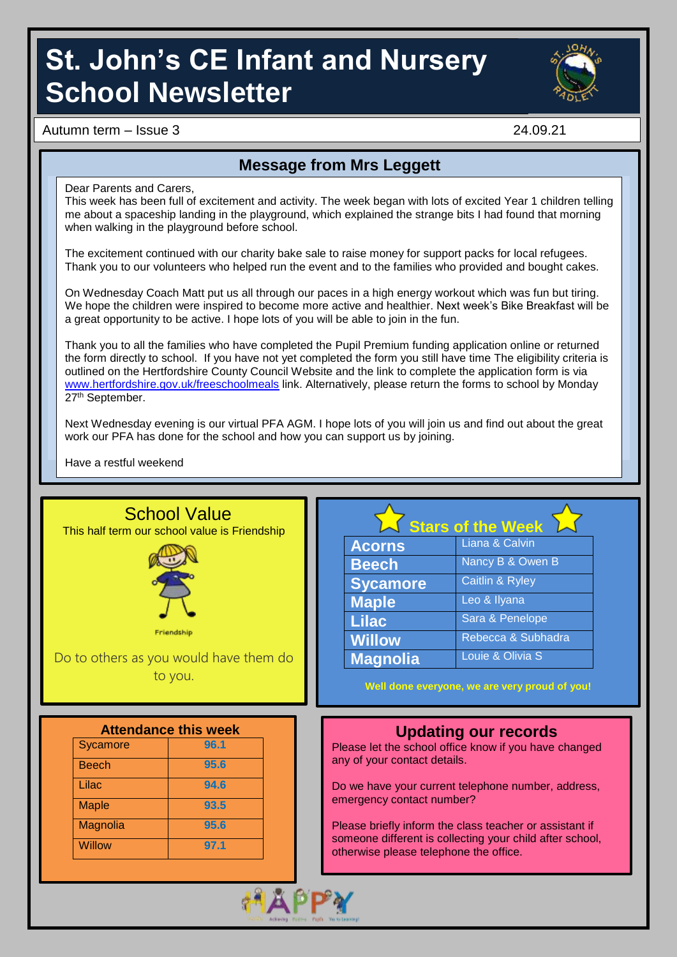# **St. John's CE Infant and Nursery School Newsletter**



Autumn term – Issue 3 24.09.21

### **Message from Mrs Leggett**

Dear Parents and Carers,

This week has been full of excitement and activity. The week began with lots of excited Year 1 children telling me about a spaceship landing in the playground, which explained the strange bits I had found that morning when walking in the playground before school.

The excitement continued with our charity bake sale to raise money for support packs for local refugees. Thank you to our volunteers who helped run the event and to the families who provided and bought cakes.

On Wednesday Coach Matt put us all through our paces in a high energy workout which was fun but tiring. We hope the children were inspired to become more active and healthier. Next week's Bike Breakfast will be a great opportunity to be active. I hope lots of you will be able to join in the fun.

Thank you to all the families who have completed the Pupil Premium funding application online or returned the form directly to school. If you have not yet completed the form you still have time The eligibility criteria is outlined on the Hertfordshire County Council Website and the link to complete the application form is via [www.hertfordshire.gov.uk/freeschoolmeals](file://stj-sr-001/ZFeeney$/www.hertfordshire.gov.uk/freeschoolmeals) link. Alternatively, please return the forms to school by Monday 27th September.

Next Wednesday evening is our virtual PFA AGM. I hope lots of you will join us and find out about the great work our PFA has done for the school and how you can support us by joining.

Have a restful weekend

|              | <b>School Value</b><br>This half term our school value is Friendship |                              | <b>Stars of the Week</b>                                                                                            |
|--------------|----------------------------------------------------------------------|------------------------------|---------------------------------------------------------------------------------------------------------------------|
|              |                                                                      | <b>Acorns</b>                | Liana & Calvin                                                                                                      |
|              |                                                                      | <b>Beech</b>                 | Nancy B & Owen B                                                                                                    |
|              |                                                                      | <b>Sycamore</b>              | Caitlin & Ryley                                                                                                     |
|              |                                                                      | <b>Maple</b>                 | Leo & Ilyana                                                                                                        |
|              |                                                                      | <b>Lilac</b>                 | Sara & Penelope                                                                                                     |
|              | Friendship                                                           | <b>Willow</b>                | Rebecca & Subhadra                                                                                                  |
|              |                                                                      |                              |                                                                                                                     |
|              | Do to others as you would have them do<br>to you.                    | <b>Magnolia</b>              | Louie & Olivia S<br>Well done everyone, we are very proud of you!                                                   |
|              | <b>Attendance this week</b>                                          |                              |                                                                                                                     |
| Sycamore     | 96.1                                                                 |                              | <b>Updating our records</b><br>Please let the school office know if you have changed                                |
| <b>Beech</b> | 95.6                                                                 | any of your contact details. |                                                                                                                     |
| Lilac        | 94.6                                                                 |                              | Do we have your current telephone number, address,                                                                  |
| <b>Maple</b> | 93.5                                                                 | emergency contact number?    |                                                                                                                     |
| Magnolia     | 95.6                                                                 |                              | Please briefly inform the class teacher or assistant if<br>someone different is collecting your child after school, |

*<u>Alexander Contract Contract Contract Contract Contract Contract Contract Contract Contract Contract Contract Contract Contract Contract Contract Contract Contract Contract Contract Contract Contract Contract Contract Co*</u>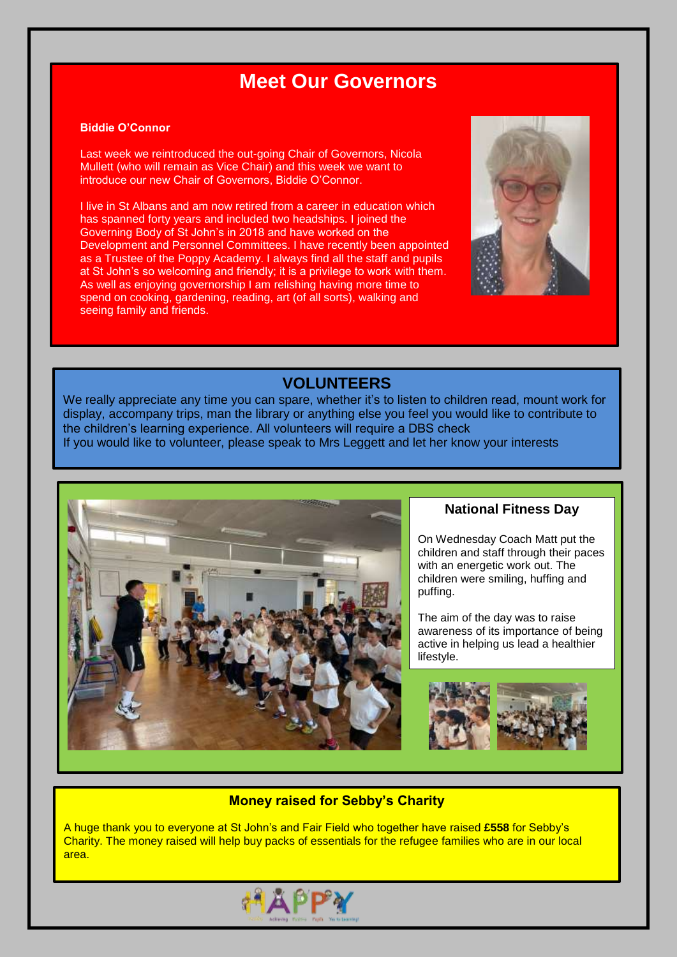### **Meet Our Governors**

#### **Biddie O'Connor**

Last week we reintroduced the out-going Chair of Governors, Nicola Mullett (who will remain as Vice Chair) and this week we want to introduce our new Chair of Governors, Biddie O'Connor.

I live in St Albans and am now retired from a career in education which has spanned forty years and included two headships. I joined the Governing Body of St John's in 2018 and have worked on the Development and Personnel Committees. I have recently been appointed as a Trustee of the Poppy Academy. I always find all the staff and pupils at St John's so welcoming and friendly; it is a privilege to work with them. As well as enjoying governorship I am relishing having more time to spend on cooking, gardening, reading, art (of all sorts), walking and seeing family and friends.



#### **VOLUNTEERS**

We really appreciate any time you can spare, whether it's to listen to children read, mount work for display, accompany trips, man the library or anything else you feel you would like to contribute to the children's learning experience. All volunteers will require a DBS check If you would like to volunteer, please speak to Mrs Leggett and let her know your interests



#### **National Fitness Day**

On Wednesday Coach Matt put the children and staff through their paces with an energetic work out. The children were smiling, huffing and puffing.

The aim of the day was to raise awareness of its importance of being active in helping us lead a healthier lifestyle.



#### **Money raised for Sebby's Charity**

A huge thank you to everyone at St John's and Fair Field who together have raised **£558** for Sebby's Charity. The money raised will help buy packs of essentials for the refugee families who are in our local area.

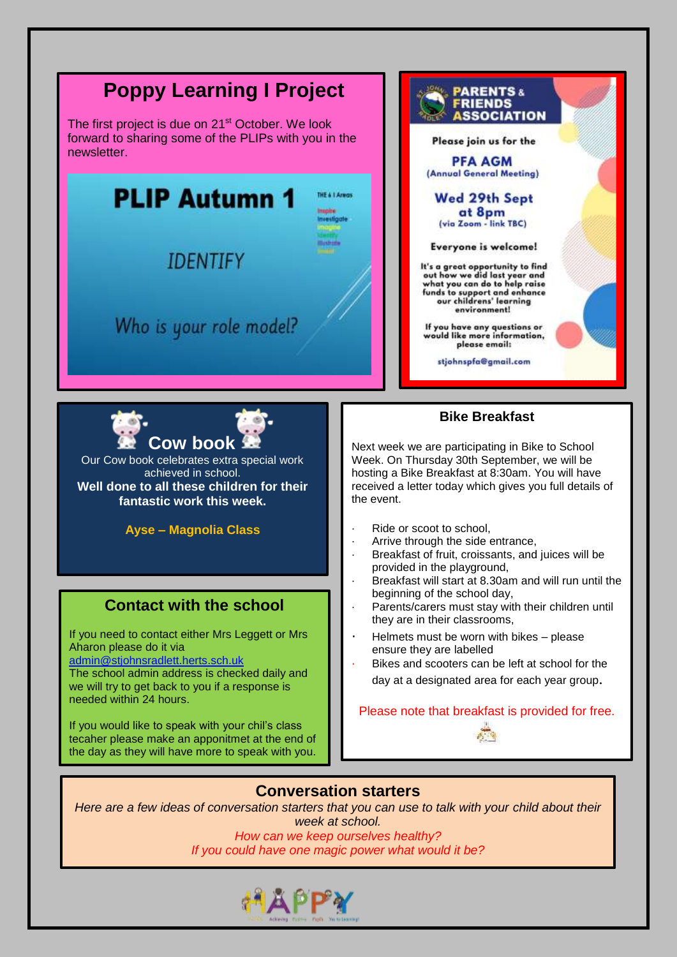

#### **Conversation starters**

*Here are a few ideas of conversation starters that you can use to talk with your child about their week at school.*

> *How can we keep ourselves healthy? If you could have one magic power what would it be?*